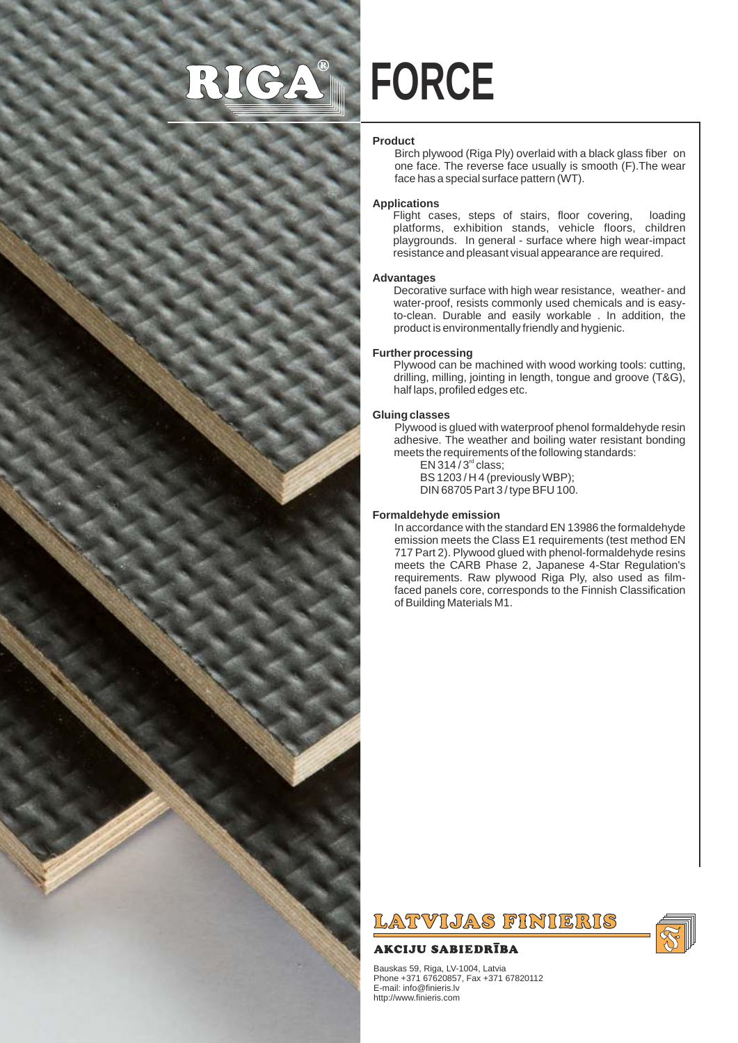# RIGA



# **Product**

Birch plywood (Riga Ply) overlaid with a black glass fiber on one face. The reverse face usually is smooth (F).The wear face has a special surface pattern (WT).

# **Applications**

Flight cases, steps of stairs, floor covering, loading platforms, exhibition stands, vehicle floors, children playgrounds. In general - surface where high wear-impact resistance and pleasant visual appearance are required.

### **Advantages**

Decorative surface with high wear resistance, weather- and water-proof, resists commonly used chemicals and is easyto-clean. Durable and easily workable . In addition, the product is environmentally friendly and hygienic.

### **Further processing**

Plywood can be machined with wood working tools: cutting, drilling, milling, jointing in length, tongue and groove (T&G), half laps, profiled edges etc.

### **Gluing classes**

Plywood is glued with waterproof phenol formaldehyde resin adhesive. The weather and boiling water resistant bonding meets the requirements of the following standards:  $EN 314 / 3<sup>rd</sup> class;$ 

BS 1203 / H 4 (previously WBP);

DIN 68705 Part 3 / type BFU 100.

#### **Formaldehyde emission**

In accordance with the standard EN 13986 the formaldehyde emission meets the Class E1 requirements (test method EN 717 Part 2). Plywood glued with phenol-formaldehyde resins meets the CARB Phase 2, Japanese 4-Star Regulation's requirements. Raw plywood Riga Ply, also used as filmfaced panels core, corresponds to the Finnish Classification of Building Materials M1.



# **AKCIJU SABIEDRĪBA**

Bauskas 59, Riga, LV-1004, Latvia Phone +371 67620857, Fax +371 67820112 E-mail: info@finieris.lv http://www.finieris.com